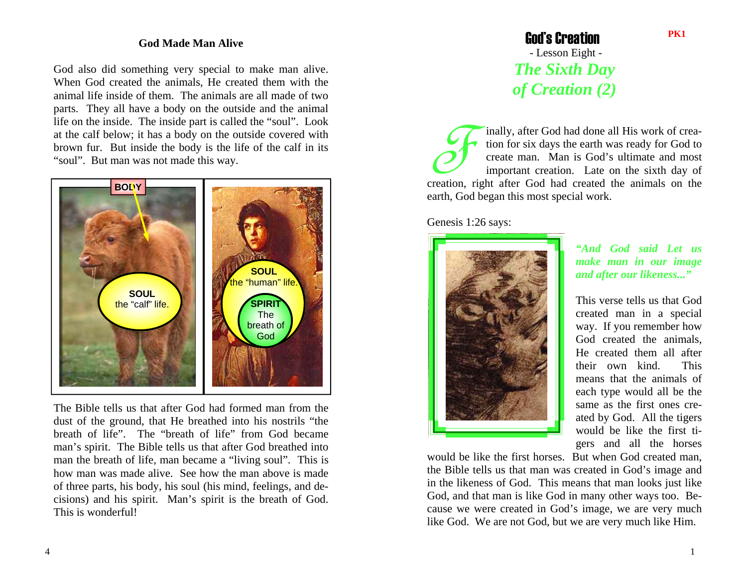## **God Made Man Alive**

God also did something very special to make man alive. When God created the animals, He created them with the animal life inside of them. The animals are all made of two parts. They all have a body on the outside and the animal life on the inside. The inside part is called the "soul". Look at the calf below; it has a body on the outside covered with brown fur. But inside the body is the life of the calf in its "soul". But man was not made this way.



The Bible tells us that after God had formed man from the dust of the ground, that He breathed into his nostrils "the breath of life". The "breath of life" from God became man's spirit. The Bible tells us that after God breathed into man the breath of life, man became a "living soul". This is how man was made alive. See how the man above is made of three parts, his body, his soul (his mind, feelings, and decisions) and his spirit. Man's spirit is the breath of God. This is wonderful!

## God's Creation - Lesson Eight - *The Sixth Day of Creation (2)*

Finally, after God had done all His work of crea- tion for six days the earth was ready for God to create man. Man is God's ultimate and most important creation. Late on the sixth day of creation, right after God had created the animals on the earth, God began this most special work.

Genesis 1:26 says:



*"And God said Let us make man in our image and after our likeness..."*

This verse tells us that God created man in a special way. If you remember how God created the animals, He created them all after their own kind. This means that the animals of each type would all be the same as the first ones created by God. All the tigers would be like the first tigers and all the horses

would be like the first horses. But when God created man, the Bible tells us that man was created in God's image and in the likeness of God. This means that man looks just like God, and that man is like God in many other ways too. Because we were created in God's image, we are very much like God. We are not God, but we are very much like Him.